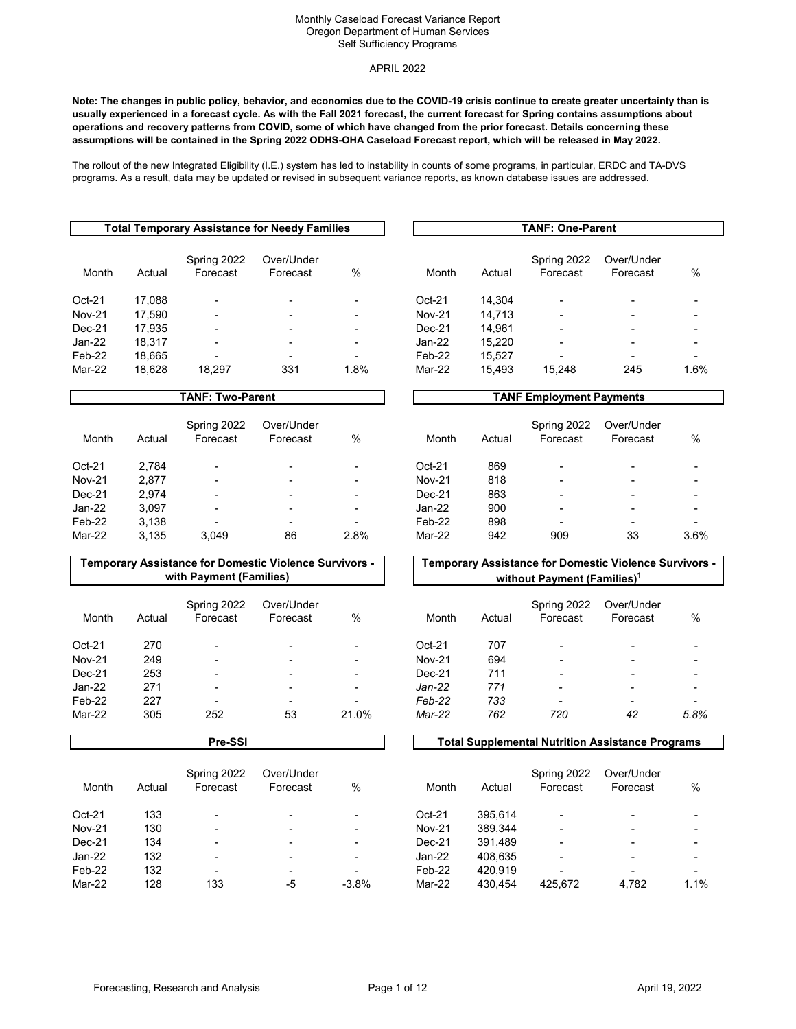#### APRIL 2022

**Note: The changes in public policy, behavior, and economics due to the COVID-19 crisis continue to create greater uncertainty than is usually experienced in a forecast cycle. As with the Fall 2021 forecast, the current forecast for Spring contains assumptions about operations and recovery patterns from COVID, some of which have changed from the prior forecast. Details concerning these assumptions will be contained in the Spring 2022 ODHS-OHA Caseload Forecast report, which will be released in May 2022.**

The rollout of the new Integrated Eligibility (I.E.) system has led to instability in counts of some programs, in particular, ERDC and TA-DVS programs. As a result, data may be updated or revised in subsequent variance reports, as known database issues are addressed.

| Total Temporary Assistance for Needy Families                        |      | TANF: One-Parent |        |                         |                        |                          |
|----------------------------------------------------------------------|------|------------------|--------|-------------------------|------------------------|--------------------------|
| Spring 2022<br>Over/Under<br>Month<br>Actual<br>Forecast<br>Forecast | $\%$ | Month            | Actual | Spring 2022<br>Forecast | Over/Under<br>Forecast | $\%$                     |
| $Oct-21$<br>17,088                                                   | ٠    | $Oct-21$         | 14.304 | $\blacksquare$          |                        | $\overline{\phantom{0}}$ |
| <b>Nov-21</b><br>17.590                                              | ۰    | <b>Nov-21</b>    | 14.713 | ٠                       |                        | $\overline{\phantom{0}}$ |
| $Dec-21$<br>17.935<br>$\overline{\phantom{0}}$                       | ٠    | $Dec-21$         | 14.961 | ٠                       |                        | $\overline{\phantom{0}}$ |
| Jan-22<br>18.317                                                     | ٠    | Jan-22           | 15.220 | -                       |                        | ۰                        |
| Feb-22<br>18,665<br>-                                                | ۰    | Feb-22           | 15.527 |                         |                        | ۰.                       |
| 331<br>Mar-22<br>18.628<br>18,297                                    | 1.8% | Mar-22           | 15,493 | 15.248                  | 245                    | 1.6%                     |

# **TANF: Two-Parent TANF Employment Payments**

| Month         | Actual | Spring 2022<br>Forecast  | Over/Under<br>Forecast | %    | Month         | Actual | Spring 2022<br>Forecast  | Over/Under<br>Forecast | %                        |
|---------------|--------|--------------------------|------------------------|------|---------------|--------|--------------------------|------------------------|--------------------------|
| $Oct-21$      | 2.784  | $\overline{\phantom{0}}$ | -                      | -    | Oct-21        | 869    | $\overline{\phantom{0}}$ | -                      | -                        |
| <b>Nov-21</b> | 2.877  | -                        |                        | -    | <b>Nov-21</b> | 818    | $\overline{\phantom{0}}$ | -                      | -                        |
| $Dec-21$      | 2.974  | $\overline{\phantom{0}}$ |                        | -    | $Dec-21$      | 863    | $\overline{\phantom{0}}$ | -                      | $\overline{\phantom{0}}$ |
| Jan-22        | 3.097  | $\overline{\phantom{0}}$ |                        | ٠    | Jan-22        | 900    | $\overline{\phantom{0}}$ |                        | ۰                        |
| Feb-22        | 3.138  | $\overline{\phantom{0}}$ |                        | -    | Feb-22        | 898    | $\overline{\phantom{0}}$ | -                      | $\overline{\phantom{0}}$ |
| Mar-22        | 3.135  | 3.049                    | 86                     | 2.8% | Mar-22        | 942    | 909                      | 33                     | 3.6%                     |

# Spring 2022 Forecast Over/Under Forecast %

**TANF: One-Parent** 

# Month Actual Spring 2022 Forecast Over/Under Forecast %

#### **Temporary Assistance for Domestic Violence Survivors with Payment (Families)**

| Month         | Actual | Spring 2022<br>Forecast  | Over/Under<br>Forecast | %     | Month         | Actual | Spring 2022<br>Forecast  | Over/Under<br>Forecast | $\%$                     |
|---------------|--------|--------------------------|------------------------|-------|---------------|--------|--------------------------|------------------------|--------------------------|
| $Oct-21$      | 270    | $\overline{\phantom{a}}$ |                        | -     | $Oct-21$      | 707    | $\overline{\phantom{a}}$ |                        | $\overline{\phantom{0}}$ |
| <b>Nov-21</b> | 249    | $\overline{\phantom{a}}$ |                        | ۰     | <b>Nov-21</b> | 694    | $\overline{\phantom{a}}$ |                        | ۰                        |
| $Dec-21$      | 253    | $\overline{\phantom{a}}$ | -                      | -     | $Dec-21$      | 711    | $\overline{\phantom{0}}$ |                        | $\overline{\phantom{0}}$ |
| Jan-22        | 271    | $\overline{\phantom{a}}$ | -                      | -     | $Jan-22$      | 771    | $\overline{\phantom{0}}$ |                        | $\,$                     |
| Feb-22        | 227    | $\overline{\phantom{a}}$ | -                      | -     | Feb-22        | 733    | $\overline{\phantom{0}}$ | -                      | $\overline{\phantom{a}}$ |
| Mar-22        | 305    | 252                      | 53                     | 21.0% | Mar-22        | 762    | 720                      | 42                     | 5.8%                     |
|               |        |                          |                        |       |               |        |                          |                        |                          |

| Month         | Actual | Spring 2022<br>Forecast  | Over/Under<br>Forecast | %       | Month         | Actual  | Spring 2022<br>Forecast  | Over/Under<br>Forecast | $\frac{9}{4}$ |
|---------------|--------|--------------------------|------------------------|---------|---------------|---------|--------------------------|------------------------|---------------|
| Oct-21        | 133    | $\overline{\phantom{0}}$ |                        |         | $Oct-21$      | 395.614 | $\overline{\phantom{0}}$ |                        |               |
| <b>Nov-21</b> | 130    | $\overline{\phantom{0}}$ |                        | -       | <b>Nov-21</b> | 389.344 | $\overline{\phantom{0}}$ |                        |               |
| Dec-21        | 134    | $\overline{\phantom{0}}$ |                        | -       | $Dec-21$      | 391,489 | $\overline{\phantom{0}}$ |                        |               |
| Jan-22        | 132    |                          |                        |         | Jan-22        | 408.635 | ٠                        |                        |               |
| Feb-22        | 132    | $\overline{\phantom{0}}$ |                        |         | Feb-22        | 420.919 | ۰                        |                        |               |
| Mar-22        | 128    | 133                      | -5                     | $-3.8%$ | Mar-22        | 430.454 | 425.672                  | 4.782                  |               |

#### **Temporary Assistance for Domestic Violence Survivors**  without Payment (Families)<sup>1</sup>

| Month         | Actual | Spring 2022 Over/Under<br>Forecast | Forecast | $\%$ |
|---------------|--------|------------------------------------|----------|------|
| $Oct-21$      | 707    |                                    |          |      |
| <b>Nov-21</b> | 694    |                                    |          |      |
| $Dec-21$      | 711    |                                    |          |      |
| $Jan-22$      | 771    |                                    |          |      |
| Feb-22        | 733    |                                    | -        |      |
| Mar-22        | 762    | 720                                | 42       | 5.8% |

#### **Pre-SSI Total Supplemental Nutrition Assistance Programs**

|               |        | Spring 2022              | Over/Under               |                          |               |         | Spring 2022 | Over/Under               |      |
|---------------|--------|--------------------------|--------------------------|--------------------------|---------------|---------|-------------|--------------------------|------|
| Month         | Actual | Forecast                 | Forecast                 | %                        | Month         | Actual  | Forecast    | Forecast                 | $\%$ |
| Oct-21        | 133    | $\overline{\phantom{a}}$ | $\overline{\phantom{0}}$ | $\overline{\phantom{0}}$ | Oct-21        | 395.614 |             | -                        |      |
| <b>Nov-21</b> | 130    | $\overline{\phantom{a}}$ | $\overline{\phantom{0}}$ | -                        | <b>Nov-21</b> | 389.344 |             | -                        |      |
| Dec-21        | 134    | $\overline{\phantom{a}}$ | -                        | -                        | Dec-21        | 391.489 |             |                          |      |
| Jan-22        | 132    | $\overline{\phantom{a}}$ | $\overline{\phantom{0}}$ | -                        | Jan-22        | 408.635 |             | -                        |      |
| Feb-22        | 132    | ۰                        | $\overline{\phantom{0}}$ | -                        | Feb-22        | 420.919 |             | $\overline{\phantom{0}}$ |      |
| Mar-22        | 128    | 133                      | -5                       | $-3.8%$                  | Mar-22        | 430.454 | 425.672     | 4.782                    | 1.1% |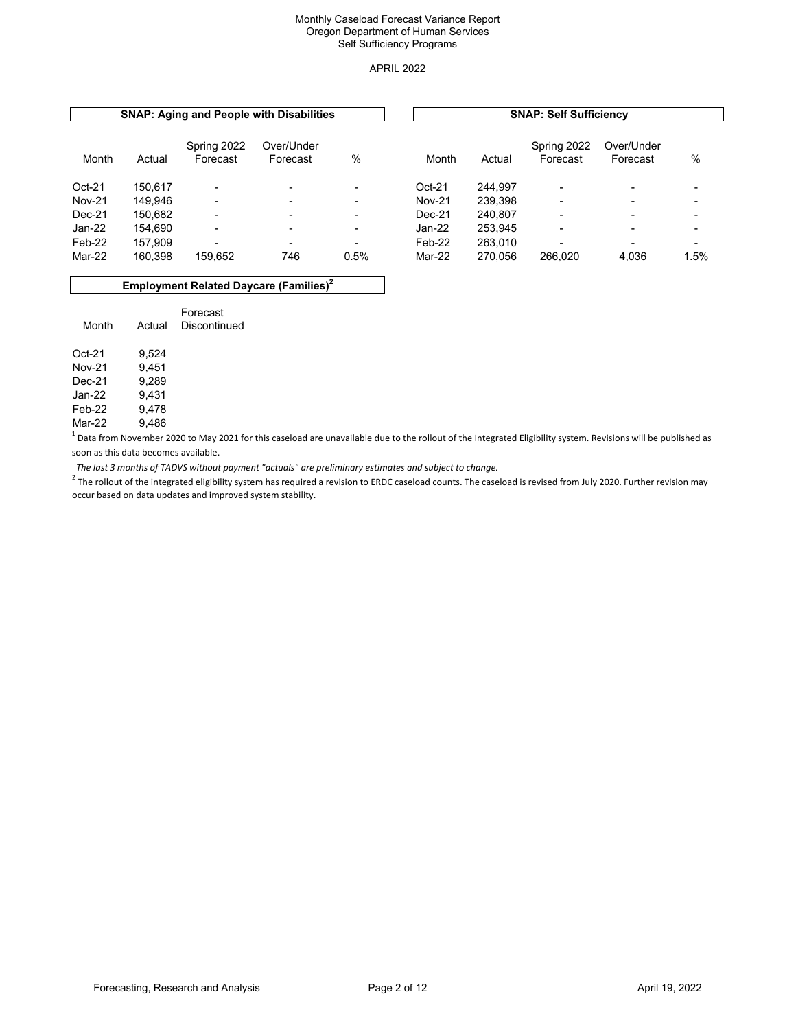#### APRIL 2022

|               |         |                          | <b>SNAP: Aging and People with Disabilities</b> |                          |               | <b>SNAP: Self Sufficiency</b> |                         |                          |                          |  |  |
|---------------|---------|--------------------------|-------------------------------------------------|--------------------------|---------------|-------------------------------|-------------------------|--------------------------|--------------------------|--|--|
| Month         | Actual  | Spring 2022<br>Forecast  | Over/Under<br>Forecast                          | %                        | Month         | Actual                        | Spring 2022<br>Forecast | Over/Under<br>Forecast   | $\%$                     |  |  |
| $Oct-21$      | 150.617 | $\overline{\phantom{0}}$ |                                                 | -                        | $Oct-21$      | 244.997                       | $\blacksquare$          |                          |                          |  |  |
| <b>Nov-21</b> | 149.946 | $\blacksquare$           |                                                 |                          | <b>Nov-21</b> | 239.398                       | ٠                       |                          |                          |  |  |
| $Dec-21$      | 150.682 | $\blacksquare$           | $\overline{\phantom{0}}$                        |                          | $Dec-21$      | 240.807                       | $\blacksquare$          | $\overline{\phantom{0}}$ | $\overline{\phantom{0}}$ |  |  |
| $Jan-22$      | 154.690 | $\blacksquare$           | $\blacksquare$                                  | $\overline{\phantom{0}}$ | Jan-22        | 253.945                       | $\blacksquare$          |                          | $\overline{\phantom{0}}$ |  |  |
| Feb-22        | 157.909 | $\blacksquare$           | $\overline{\phantom{0}}$                        |                          | Feb-22        | 263.010                       | $\blacksquare$          |                          | $\overline{\phantom{0}}$ |  |  |
| Mar-22        | 160.398 | 159,652                  | 746                                             | 0.5%                     | Mar-22        | 270.056                       | 266.020                 | 4,036                    | 1.5%                     |  |  |

#### **Employment Related Daycare (Families)2**

| Month  | Actual  | Forecast<br>Discontinued |
|--------|---------|--------------------------|
| Oct-21 | 9.524   |                          |
|        | - - - - |                          |

Nov-21 9,451<br>Dec-21 9,289 Dec-21 9,289<br>Jan-22 9,431 Jan-22 9,431 Feb-22 9,478<br>Mar-22 9.486  $Mar-22$ 

 $^{\rm 1}$  Data from November 2020 to May 2021 for this caseload are unavailable due to the rollout of the Integrated Eligibility system. Revisions will be published as soon as this data becomes available.

 *The last 3 months of TADVS without payment "actuals" are preliminary estimates and subject to change.* 

 $^2$  The rollout of the integrated eligibility system has required a revision to ERDC caseload counts. The caseload is revised from July 2020. Further revision may occur based on data updates and improved system stability.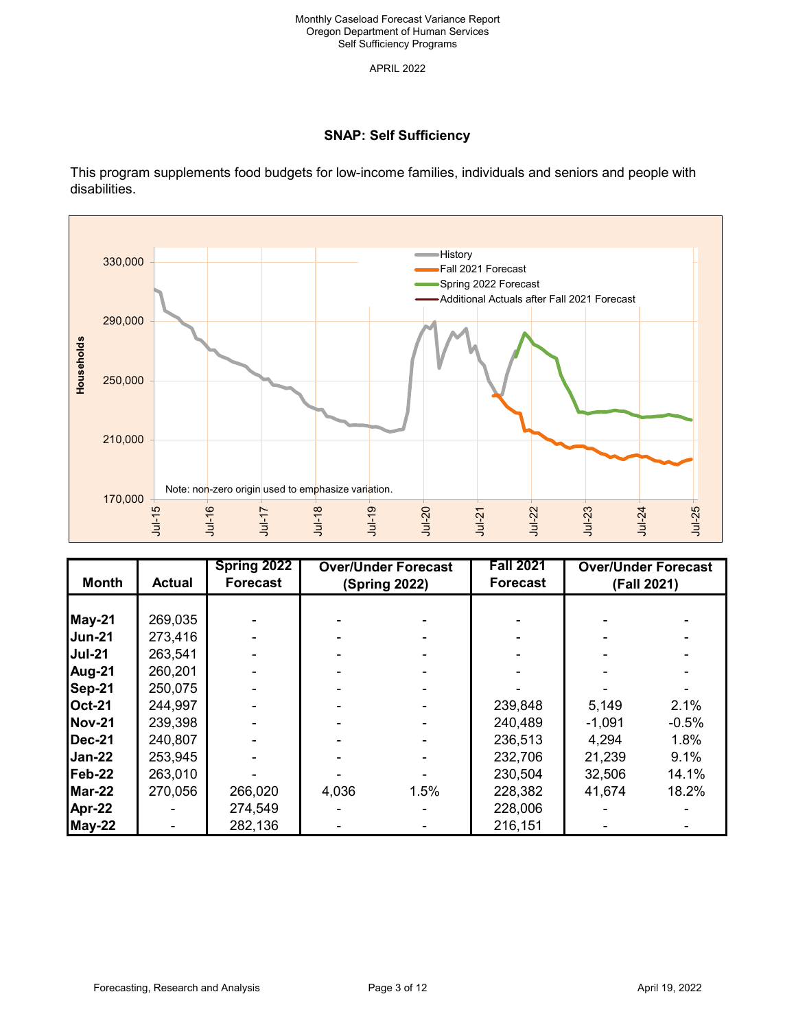# **SNAP: Self Sufficiency**

This program supplements food budgets for low-income families, individuals and seniors and people with disabilities.



| <b>Month</b>  | <b>Actual</b> | Spring 2022<br><b>Forecast</b> | <b>Over/Under Forecast</b><br>(Spring 2022) |      | <b>Fall 2021</b><br><b>Forecast</b> |          | <b>Over/Under Forecast</b><br>(Fall 2021) |
|---------------|---------------|--------------------------------|---------------------------------------------|------|-------------------------------------|----------|-------------------------------------------|
|               |               |                                |                                             |      |                                     |          |                                           |
|               |               |                                |                                             |      |                                     |          |                                           |
| May-21        | 269,035       |                                |                                             |      |                                     |          |                                           |
| <b>Jun-21</b> | 273,416       |                                |                                             |      |                                     |          |                                           |
| <b>Jul-21</b> | 263,541       |                                |                                             |      |                                     |          |                                           |
| Aug-21        | 260,201       |                                |                                             |      |                                     |          |                                           |
| Sep-21        | 250,075       |                                |                                             |      |                                     |          |                                           |
| <b>Oct-21</b> | 244,997       |                                |                                             |      | 239,848                             | 5,149    | 2.1%                                      |
| <b>Nov-21</b> | 239,398       |                                |                                             |      | 240,489                             | $-1,091$ | $-0.5%$                                   |
| <b>Dec-21</b> | 240,807       |                                |                                             |      | 236,513                             | 4,294    | 1.8%                                      |
| Jan-22        | 253,945       |                                |                                             |      | 232,706                             | 21,239   | 9.1%                                      |
| Feb-22        | 263,010       |                                |                                             |      | 230,504                             | 32,506   | 14.1%                                     |
| Mar-22        | 270,056       | 266,020                        | 4,036                                       | 1.5% | 228,382                             | 41,674   | 18.2%                                     |
| Apr-22        |               | 274,549                        |                                             |      | 228,006                             |          |                                           |
| May-22        |               | 282,136                        |                                             |      | 216,151                             |          |                                           |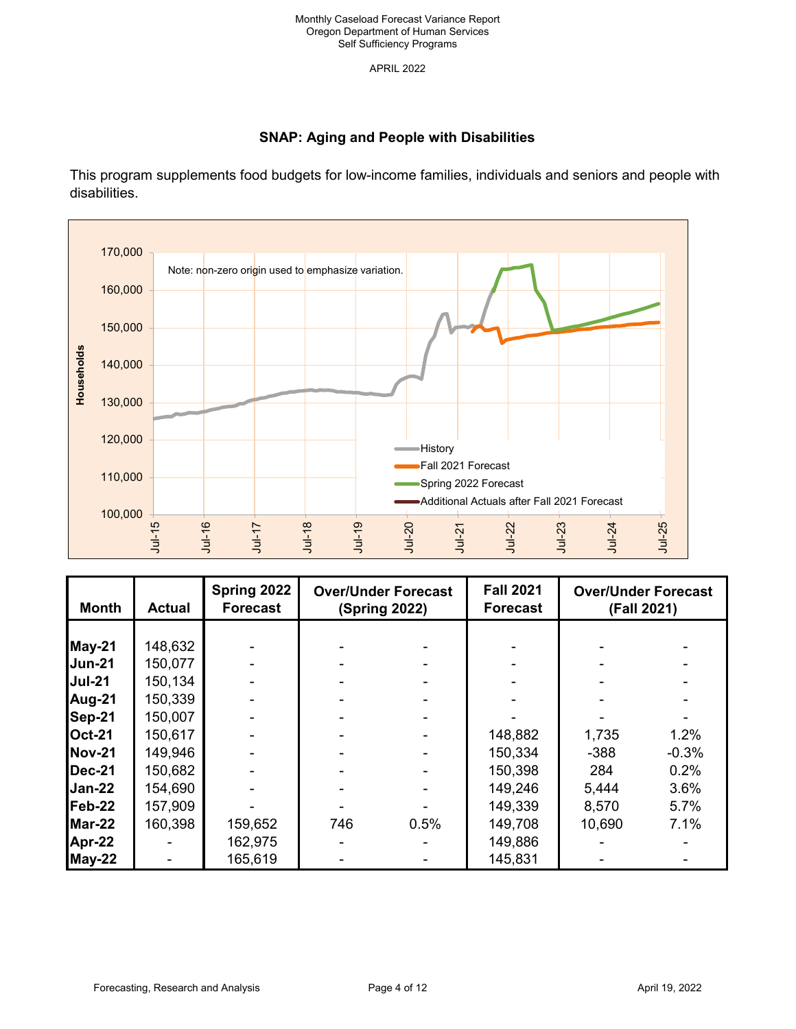# **SNAP: Aging and People with Disabilities**

This program supplements food budgets for low-income families, individuals and seniors and people with disabilities.



| <b>Month</b>  | <b>Actual</b> | Spring 2022<br><b>Forecast</b> | <b>Over/Under Forecast</b><br><b>(Spring 2022)</b> |      | <b>Fall 2021</b><br><b>Forecast</b> | <b>Over/Under Forecast</b><br>(Fall 2021) |         |
|---------------|---------------|--------------------------------|----------------------------------------------------|------|-------------------------------------|-------------------------------------------|---------|
|               |               |                                |                                                    |      |                                     |                                           |         |
| May-21        | 148,632       |                                |                                                    |      |                                     |                                           |         |
| Jun-21        | 150,077       |                                |                                                    |      |                                     |                                           |         |
| <b>Jul-21</b> | 150,134       |                                |                                                    |      |                                     |                                           |         |
| Aug-21        | 150,339       |                                |                                                    |      |                                     |                                           |         |
| Sep-21        | 150,007       |                                |                                                    |      |                                     |                                           |         |
| <b>Oct-21</b> | 150,617       |                                |                                                    |      | 148,882                             | 1,735                                     | 1.2%    |
| <b>Nov-21</b> | 149,946       |                                |                                                    |      | 150,334                             | $-388$                                    | $-0.3%$ |
| <b>Dec-21</b> | 150,682       |                                |                                                    |      | 150,398                             | 284                                       | 0.2%    |
| Jan-22        | 154,690       |                                |                                                    |      | 149,246                             | 5,444                                     | 3.6%    |
| Feb-22        | 157,909       |                                |                                                    |      | 149,339                             | 8,570                                     | 5.7%    |
| Mar-22        | 160,398       | 159,652                        | 746                                                | 0.5% | 149,708                             | 10,690                                    | 7.1%    |
| Apr-22        |               | 162,975                        |                                                    |      | 149,886                             |                                           |         |
| May-22        |               | 165,619                        |                                                    |      | 145,831                             |                                           |         |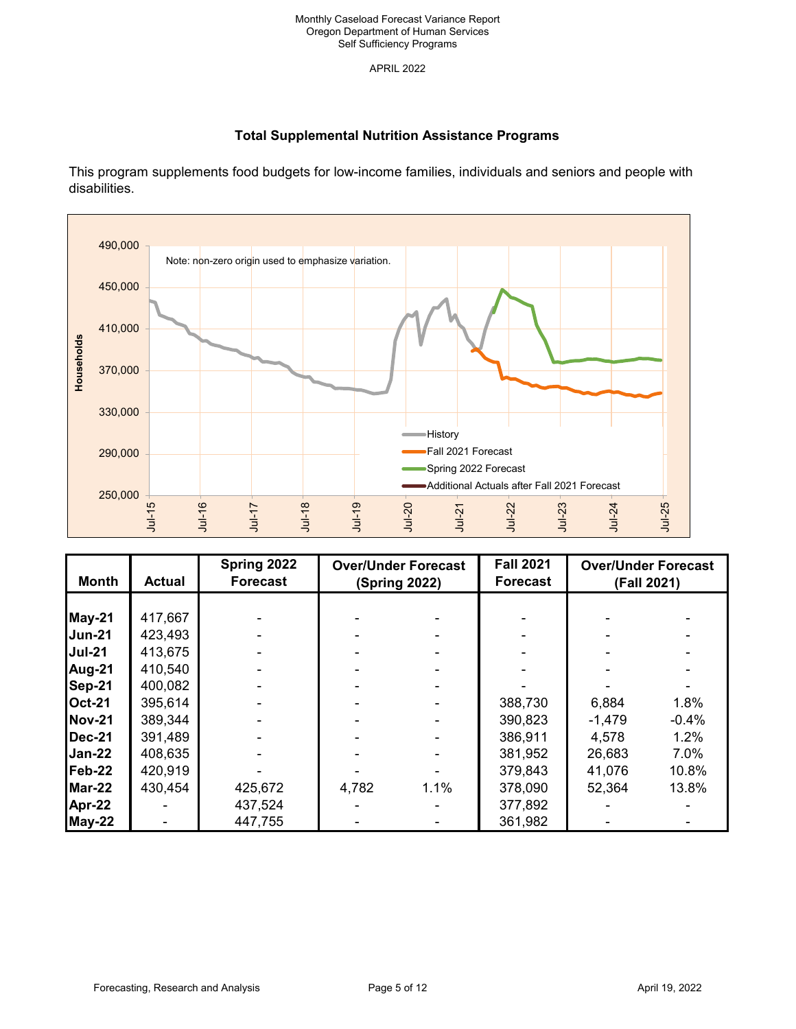# **Total Supplemental Nutrition Assistance Programs**

This program supplements food budgets for low-income families, individuals and seniors and people with disabilities.



| <b>Month</b>  | <b>Actual</b> | Spring 2022<br><b>Forecast</b> | <b>Over/Under Forecast</b><br><b>(Spring 2022)</b> |      | <b>Fall 2021</b><br><b>Forecast</b> | <b>Over/Under Forecast</b><br>(Fall 2021) |         |
|---------------|---------------|--------------------------------|----------------------------------------------------|------|-------------------------------------|-------------------------------------------|---------|
|               |               |                                |                                                    |      |                                     |                                           |         |
| <b>May-21</b> | 417,667       |                                |                                                    |      |                                     |                                           |         |
| <b>Jun-21</b> | 423,493       |                                |                                                    |      |                                     |                                           |         |
| <b>Jul-21</b> | 413,675       |                                |                                                    |      |                                     |                                           |         |
| Aug-21        | 410,540       |                                |                                                    |      |                                     |                                           |         |
| Sep-21        | 400,082       |                                |                                                    |      |                                     |                                           |         |
| <b>Oct-21</b> | 395,614       |                                |                                                    |      | 388,730                             | 6,884                                     | 1.8%    |
| <b>Nov-21</b> | 389,344       |                                |                                                    |      | 390,823                             | $-1,479$                                  | $-0.4%$ |
| <b>Dec-21</b> | 391,489       |                                |                                                    |      | 386,911                             | 4,578                                     | 1.2%    |
| <b>Jan-22</b> | 408,635       |                                |                                                    |      | 381,952                             | 26,683                                    | 7.0%    |
| $Feb-22$      | 420,919       |                                |                                                    |      | 379,843                             | 41,076                                    | 10.8%   |
| $Mar-22$      | 430,454       | 425,672                        | 4,782                                              | 1.1% | 378,090                             | 52,364                                    | 13.8%   |
| Apr-22        |               | 437,524                        |                                                    |      | 377,892                             |                                           |         |
| May-22        |               | 447,755                        |                                                    |      | 361,982                             |                                           |         |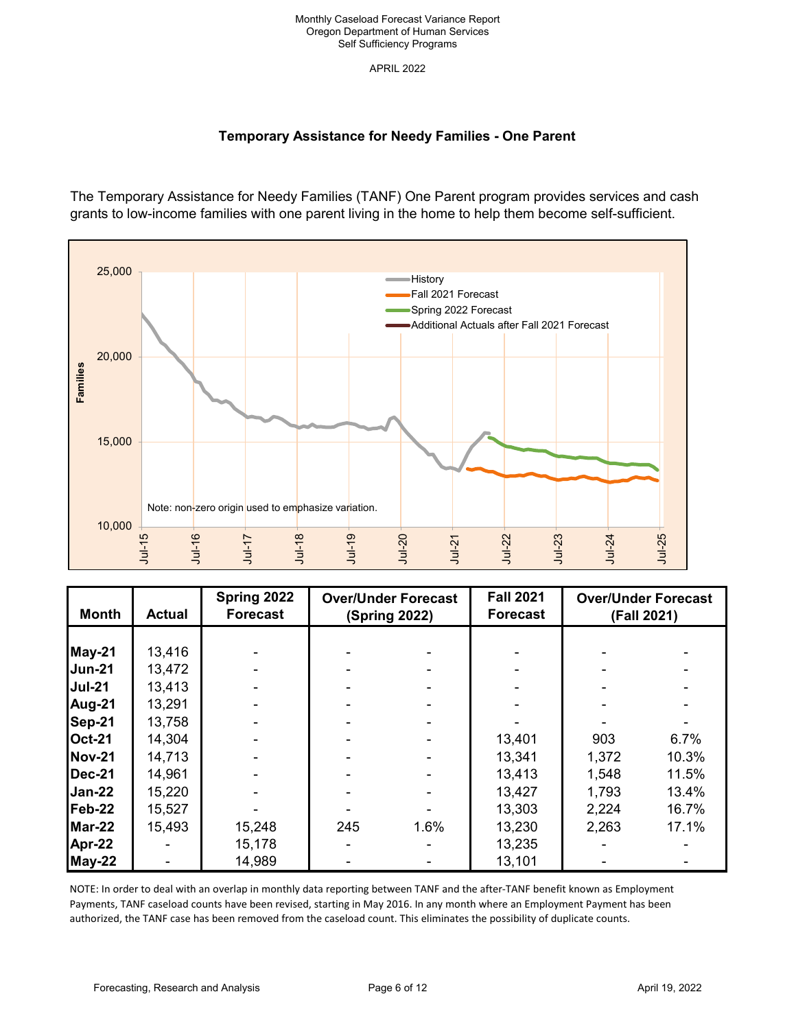# **Temporary Assistance for Needy Families - One Parent**

The Temporary Assistance for Needy Families (TANF) One Parent program provides services and cash grants to low-income families with one parent living in the home to help them become self-sufficient.



| <b>Month</b>  | <b>Actual</b> | Spring 2022<br><b>Forecast</b> | <b>Over/Under Forecast</b><br><b>(Spring 2022)</b> |      | <b>Fall 2021</b><br><b>Forecast</b> | <b>Over/Under Forecast</b><br>(Fall 2021) |       |
|---------------|---------------|--------------------------------|----------------------------------------------------|------|-------------------------------------|-------------------------------------------|-------|
|               |               |                                |                                                    |      |                                     |                                           |       |
| May-21        | 13,416        |                                |                                                    |      |                                     |                                           |       |
| <b>Jun-21</b> | 13,472        |                                |                                                    |      |                                     |                                           |       |
| <b>Jul-21</b> | 13,413        |                                |                                                    |      |                                     |                                           |       |
| Aug-21        | 13,291        |                                |                                                    |      |                                     |                                           |       |
| Sep-21        | 13,758        |                                |                                                    |      |                                     |                                           |       |
| <b>Oct-21</b> | 14,304        |                                |                                                    |      | 13,401                              | 903                                       | 6.7%  |
| <b>Nov-21</b> | 14,713        |                                |                                                    |      | 13,341                              | 1,372                                     | 10.3% |
| <b>Dec-21</b> | 14,961        |                                |                                                    |      | 13,413                              | 1,548                                     | 11.5% |
| Jan-22        | 15,220        |                                |                                                    |      | 13,427                              | 1,793                                     | 13.4% |
| Feb-22        | 15,527        |                                |                                                    |      | 13,303                              | 2,224                                     | 16.7% |
| Mar-22        | 15,493        | 15,248                         | 245                                                | 1.6% | 13,230                              | 2,263                                     | 17.1% |
| Apr-22        |               | 15,178                         |                                                    |      | 13,235                              |                                           |       |
| May-22        |               | 14,989                         |                                                    |      | 13,101                              |                                           |       |

NOTE: In order to deal with an overlap in monthly data reporting between TANF and the after-TANF benefit known as Employment Payments, TANF caseload counts have been revised, starting in May 2016. In any month where an Employment Payment has been authorized, the TANF case has been removed from the caseload count. This eliminates the possibility of duplicate counts.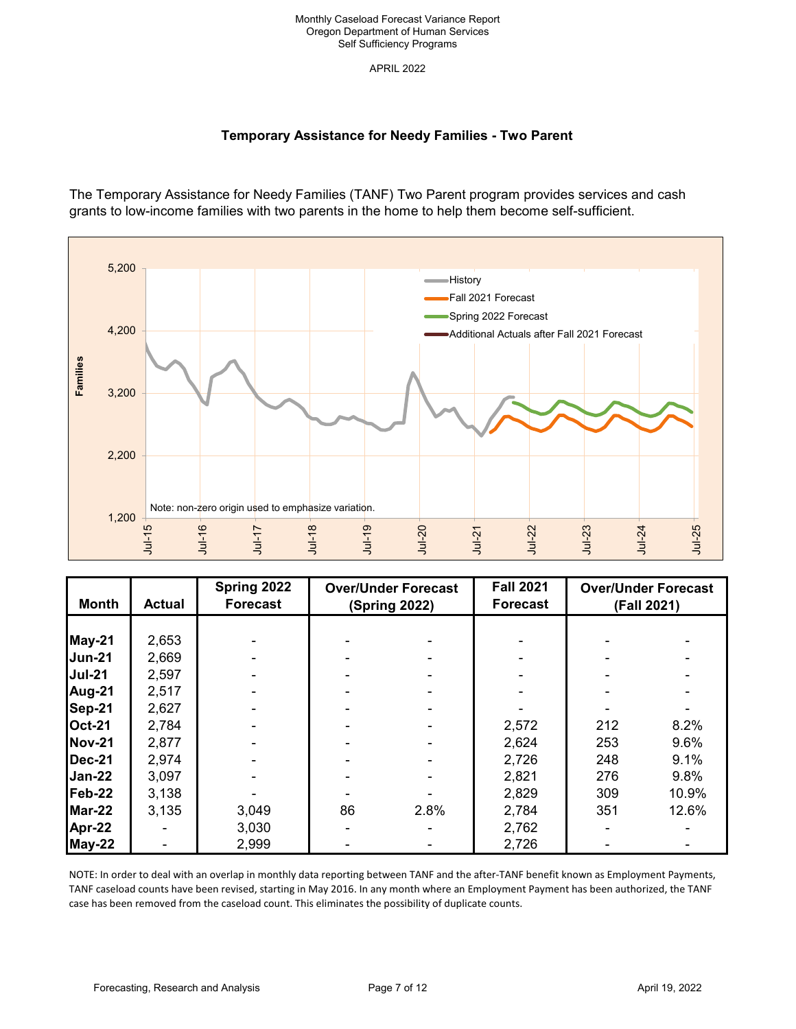# **Temporary Assistance for Needy Families - Two Parent**

The Temporary Assistance for Needy Families (TANF) Two Parent program provides services and cash grants to low-income families with two parents in the home to help them become self-sufficient.



| <b>Month</b>  | <b>Actual</b> | Spring 2022<br><b>Forecast</b> | <b>Over/Under Forecast</b><br>(Spring 2022) |      | <b>Fall 2021</b><br><b>Forecast</b> | <b>Over/Under Forecast</b><br>(Fall 2021) |       |
|---------------|---------------|--------------------------------|---------------------------------------------|------|-------------------------------------|-------------------------------------------|-------|
|               |               |                                |                                             |      |                                     |                                           |       |
| May-21        | 2,653         |                                |                                             |      |                                     |                                           |       |
| <b>Jun-21</b> | 2,669         |                                |                                             |      |                                     |                                           |       |
| <b>Jul-21</b> | 2,597         |                                |                                             |      |                                     |                                           |       |
| Aug-21        | 2,517         |                                |                                             |      |                                     |                                           |       |
| Sep-21        | 2,627         |                                |                                             |      |                                     |                                           |       |
| <b>Oct-21</b> | 2,784         |                                |                                             |      | 2,572                               | 212                                       | 8.2%  |
| <b>Nov-21</b> | 2,877         |                                |                                             |      | 2,624                               | 253                                       | 9.6%  |
| <b>Dec-21</b> | 2,974         |                                |                                             |      | 2,726                               | 248                                       | 9.1%  |
| <b>Jan-22</b> | 3,097         |                                |                                             |      | 2,821                               | 276                                       | 9.8%  |
| $Feb-22$      | 3,138         |                                |                                             |      | 2,829                               | 309                                       | 10.9% |
| $Mar-22$      | 3,135         | 3,049                          | 86                                          | 2.8% | 2,784                               | 351                                       | 12.6% |
| Apr-22        |               | 3,030                          |                                             |      | 2,762                               |                                           |       |
| May-22        |               | 2,999                          |                                             |      | 2,726                               |                                           |       |

NOTE: In order to deal with an overlap in monthly data reporting between TANF and the after-TANF benefit known as Employment Payments, TANF caseload counts have been revised, starting in May 2016. In any month where an Employment Payment has been authorized, the TANF case has been removed from the caseload count. This eliminates the possibility of duplicate counts.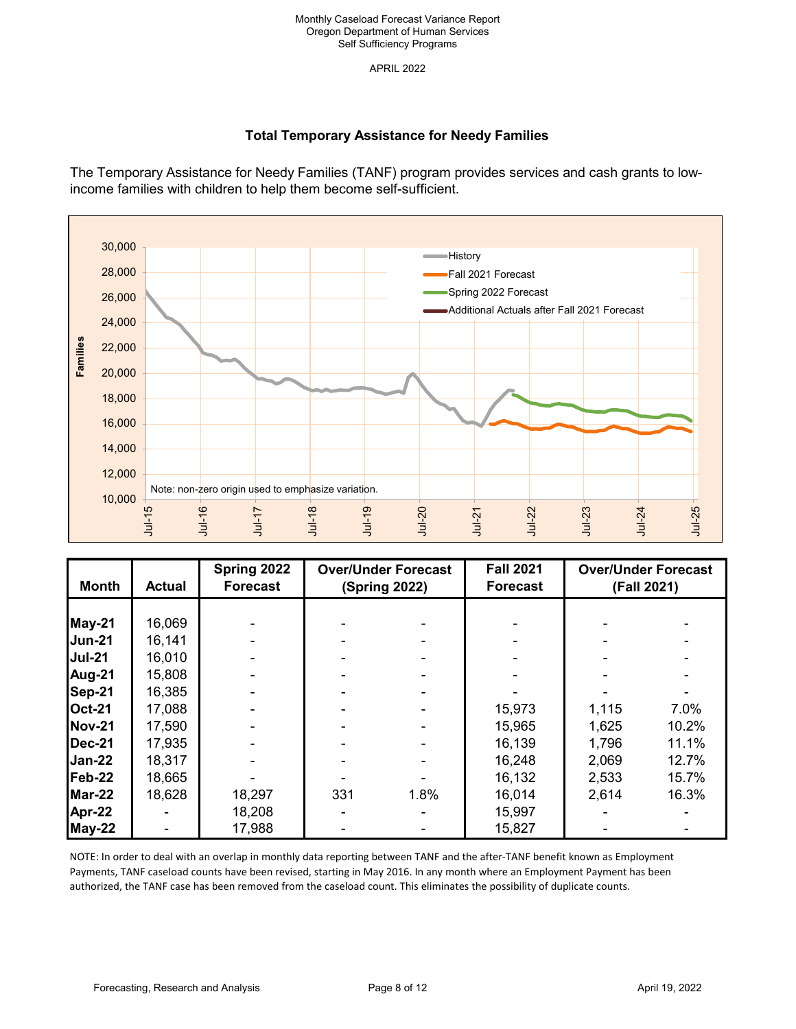APRIL 2022

# **Total Temporary Assistance for Needy Families**

The Temporary Assistance for Needy Families (TANF) program provides services and cash grants to lowincome families with children to help them become self-sufficient.



| <b>Month</b>  | <b>Actual</b>  | Spring 2022<br><b>Forecast</b> | <b>Over/Under Forecast</b><br><b>(Spring 2022)</b> |      | <b>Fall 2021</b><br><b>Forecast</b> | <b>Over/Under Forecast</b><br>(Fall 2021) |       |
|---------------|----------------|--------------------------------|----------------------------------------------------|------|-------------------------------------|-------------------------------------------|-------|
|               |                |                                |                                                    |      |                                     |                                           |       |
| May-21        | 16,069         |                                |                                                    |      |                                     |                                           |       |
| <b>Jun-21</b> | 16,141         |                                |                                                    |      |                                     |                                           |       |
| <b>Jul-21</b> | 16,010         |                                |                                                    |      |                                     |                                           |       |
| Aug-21        | 15,808         |                                |                                                    |      |                                     |                                           |       |
| Sep-21        | 16,385         |                                |                                                    |      |                                     |                                           |       |
| <b>Oct-21</b> | 17,088         |                                |                                                    |      | 15,973                              | 1,115                                     | 7.0%  |
| <b>Nov-21</b> | 17,590         |                                |                                                    |      | 15,965                              | 1,625                                     | 10.2% |
| <b>Dec-21</b> | 17,935         |                                |                                                    |      | 16,139                              | 1,796                                     | 11.1% |
| Jan-22        | 18,317         |                                |                                                    |      | 16,248                              | 2,069                                     | 12.7% |
| $Feb-22$      | 18,665         |                                |                                                    |      | 16,132                              | 2,533                                     | 15.7% |
| Mar-22        | 18,628         | 18,297                         | 331                                                | 1.8% | 16,014                              | 2,614                                     | 16.3% |
| Apr-22        |                | 18,208                         |                                                    |      | 15,997                              |                                           |       |
| May-22        | $\blacksquare$ | 17,988                         |                                                    |      | 15,827                              |                                           |       |

NOTE: In order to deal with an overlap in monthly data reporting between TANF and the after-TANF benefit known as Employment Payments, TANF caseload counts have been revised, starting in May 2016. In any month where an Employment Payment has been authorized, the TANF case has been removed from the caseload count. This eliminates the possibility of duplicate counts.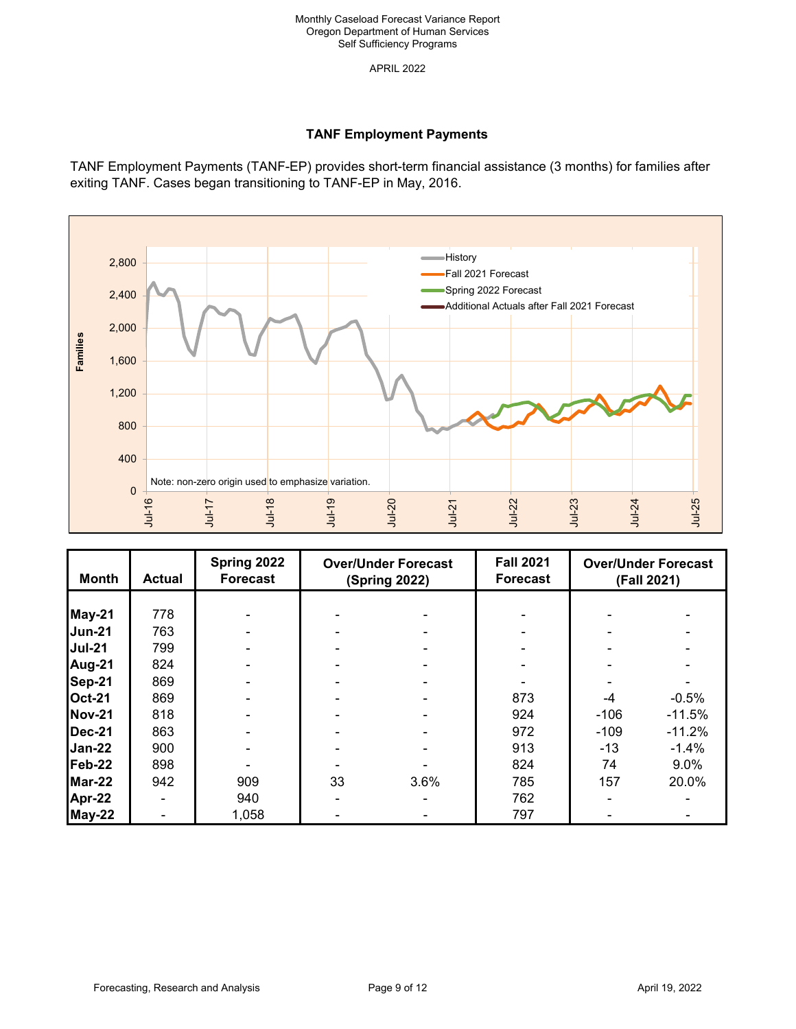# **TANF Employment Payments**

TANF Employment Payments (TANF-EP) provides short-term financial assistance (3 months) for families after exiting TANF. Cases began transitioning to TANF-EP in May, 2016.



| Month         | <b>Actual</b> | Spring 2022<br><b>Forecast</b> | <b>Over/Under Forecast</b><br><b>(Spring 2022)</b> |      | <b>Fall 2021</b><br><b>Forecast</b> | <b>Over/Under Forecast</b><br>(Fall 2021) |          |
|---------------|---------------|--------------------------------|----------------------------------------------------|------|-------------------------------------|-------------------------------------------|----------|
|               |               |                                |                                                    |      |                                     |                                           |          |
| May-21        | 778           |                                |                                                    |      |                                     |                                           |          |
| <b>Jun-21</b> | 763           |                                |                                                    |      |                                     |                                           |          |
| <b>Jul-21</b> | 799           |                                |                                                    |      |                                     |                                           |          |
| Aug-21        | 824           |                                |                                                    |      |                                     |                                           |          |
| Sep-21        | 869           |                                |                                                    |      |                                     |                                           |          |
| <b>Oct-21</b> | 869           |                                |                                                    |      | 873                                 | -4                                        | $-0.5%$  |
| <b>Nov-21</b> | 818           |                                |                                                    |      | 924                                 | $-106$                                    | $-11.5%$ |
| $Dec-21$      | 863           |                                |                                                    |      | 972                                 | $-109$                                    | $-11.2%$ |
| $Jan-22$      | 900           |                                |                                                    |      | 913                                 | $-13$                                     | $-1.4%$  |
| Feb-22        | 898           |                                |                                                    |      | 824                                 | 74                                        | 9.0%     |
| Mar-22        | 942           | 909                            | 33                                                 | 3.6% | 785                                 | 157                                       | 20.0%    |
| Apr-22        |               | 940                            |                                                    |      | 762                                 |                                           |          |
| $May-22$      |               | 1,058                          |                                                    |      | 797                                 |                                           |          |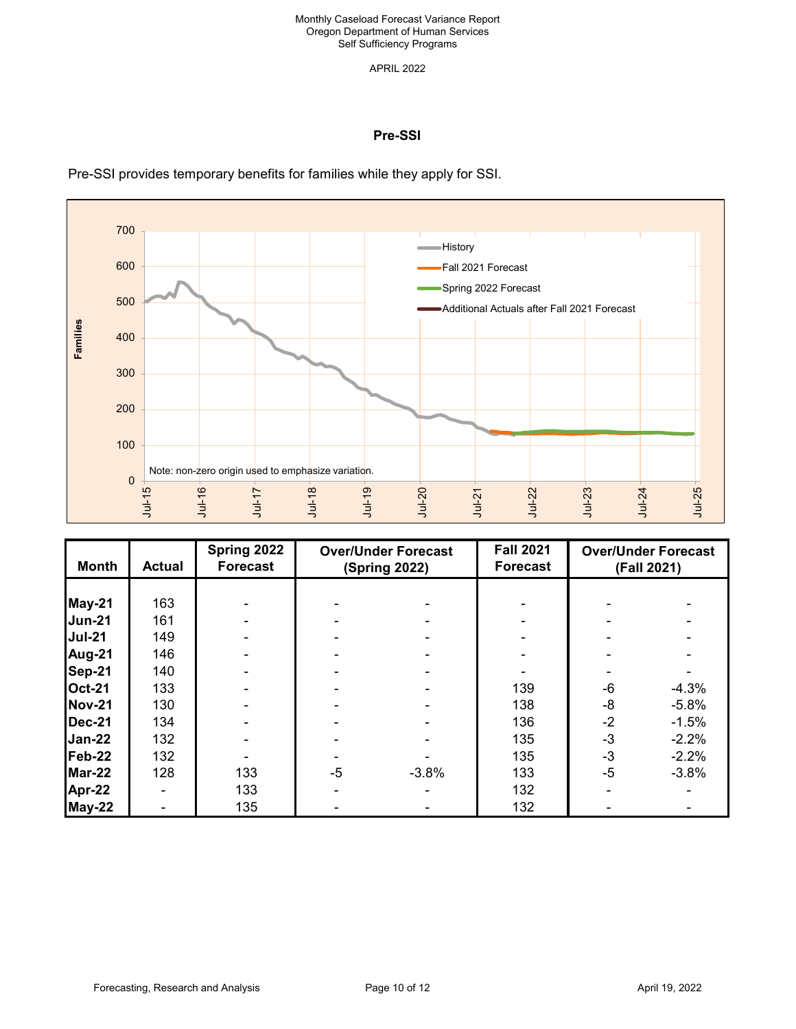APRIL 2022

### **Pre-SSI**

Pre-SSI provides temporary benefits for families while they apply for SSI.



| <b>Month</b>  | <b>Actual</b> | Spring 2022<br><b>Forecast</b> | <b>Over/Under Forecast</b><br><b>(Spring 2022)</b> |         | <b>Fall 2021</b><br><b>Forecast</b> | <b>Over/Under Forecast</b><br>(Fall 2021) |         |
|---------------|---------------|--------------------------------|----------------------------------------------------|---------|-------------------------------------|-------------------------------------------|---------|
|               |               |                                |                                                    |         |                                     |                                           |         |
| May-21        | 163           |                                |                                                    |         |                                     |                                           |         |
| <b>Jun-21</b> | 161           |                                |                                                    |         |                                     |                                           |         |
| <b>Jul-21</b> | 149           |                                |                                                    |         |                                     |                                           |         |
| Aug-21        | 146           |                                |                                                    |         |                                     |                                           |         |
| Sep-21        | 140           |                                |                                                    |         |                                     |                                           |         |
| <b>Oct-21</b> | 133           |                                |                                                    |         | 139                                 | -6                                        | $-4.3%$ |
| <b>Nov-21</b> | 130           |                                |                                                    |         | 138                                 | -8                                        | $-5.8%$ |
| <b>Dec-21</b> | 134           |                                |                                                    |         | 136                                 | $-2$                                      | $-1.5%$ |
| $Jan-22$      | 132           |                                |                                                    |         | 135                                 | $-3$                                      | $-2.2%$ |
| Feb-22        | 132           |                                |                                                    |         | 135                                 | $-3$                                      | $-2.2%$ |
| $Mar-22$      | 128           | 133                            | $-5$                                               | $-3.8%$ | 133                                 | $-5$                                      | $-3.8%$ |
| Apr-22        |               | 133                            |                                                    |         | 132                                 |                                           |         |
| <b>May-22</b> |               | 135                            |                                                    |         | 132                                 |                                           |         |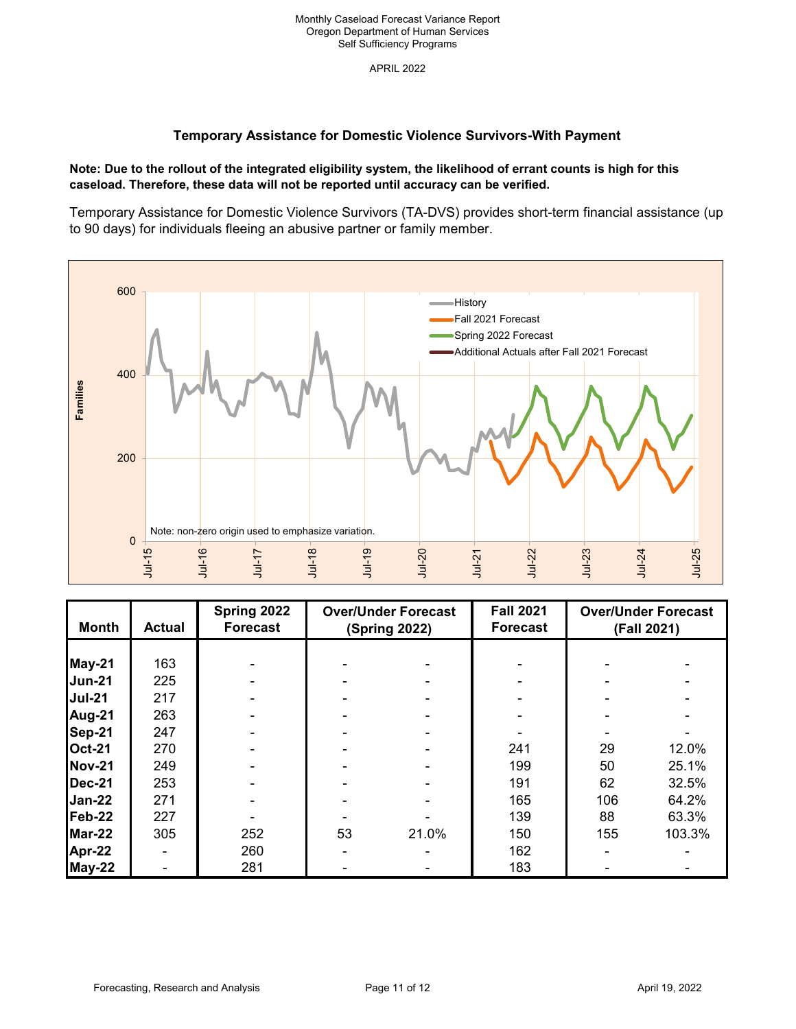## **Temporary Assistance for Domestic Violence Survivors-With Payment**

### **Note: Due to the rollout of the integrated eligibility system, the likelihood of errant counts is high for this caseload. Therefore, these data will not be reported until accuracy can be verified.**

Temporary Assistance for Domestic Violence Survivors (TA-DVS) provides short-term financial assistance (up to 90 days) for individuals fleeing an abusive partner or family member.



| <b>Month</b>  | <b>Actual</b> | Spring 2022<br>Forecast | <b>Over/Under Forecast</b><br><b>(Spring 2022)</b> |       | <b>Fall 2021</b><br><b>Forecast</b> | <b>Over/Under Forecast</b><br>(Fall 2021) |        |
|---------------|---------------|-------------------------|----------------------------------------------------|-------|-------------------------------------|-------------------------------------------|--------|
|               |               |                         |                                                    |       |                                     |                                           |        |
| May-21        | 163           |                         |                                                    |       |                                     |                                           |        |
| <b>Jun-21</b> | 225           |                         |                                                    |       |                                     |                                           |        |
| <b>Jul-21</b> | 217           |                         |                                                    |       |                                     |                                           |        |
| Aug-21        | 263           |                         |                                                    |       |                                     |                                           |        |
| Sep-21        | 247           |                         |                                                    |       |                                     |                                           |        |
| <b>Oct-21</b> | 270           |                         |                                                    |       | 241                                 | 29                                        | 12.0%  |
| <b>Nov-21</b> | 249           |                         |                                                    |       | 199                                 | 50                                        | 25.1%  |
| <b>Dec-21</b> | 253           |                         |                                                    |       | 191                                 | 62                                        | 32.5%  |
| $Jan-22$      | 271           |                         |                                                    |       | 165                                 | 106                                       | 64.2%  |
| Feb-22        | 227           |                         |                                                    |       | 139                                 | 88                                        | 63.3%  |
| $Mar-22$      | 305           | 252                     | 53                                                 | 21.0% | 150                                 | 155                                       | 103.3% |
| Apr-22        |               | 260                     |                                                    |       | 162                                 |                                           |        |
| May-22        |               | 281                     |                                                    |       | 183                                 |                                           |        |